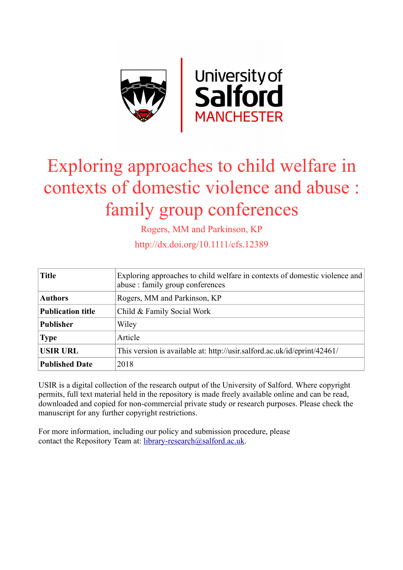

# Exploring approaches to child welfare in contexts of domestic violence and abuse : family group conferences

Rogers, MM and Parkinson, KP

http://dx.doi.org/10.1111/cfs.12389

| <b>Title</b>             | Exploring approaches to child welfare in contexts of domestic violence and<br>abuse : family group conferences |
|--------------------------|----------------------------------------------------------------------------------------------------------------|
| <b>Authors</b>           | Rogers, MM and Parkinson, KP                                                                                   |
| <b>Publication title</b> | Child & Family Social Work                                                                                     |
| <b>Publisher</b>         | Wiley                                                                                                          |
| <b>Type</b>              | Article                                                                                                        |
| <b>USIR URL</b>          | This version is available at: http://usir.salford.ac.uk/id/eprint/42461/                                       |
| <b>Published Date</b>    | 2018                                                                                                           |

USIR is a digital collection of the research output of the University of Salford. Where copyright permits, full text material held in the repository is made freely available online and can be read, downloaded and copied for non-commercial private study or research purposes. Please check the manuscript for any further copyright restrictions.

For more information, including our policy and submission procedure, please contact the Repository Team at: [library-research@salford.ac.uk.](mailto:library-research@salford.ac.uk)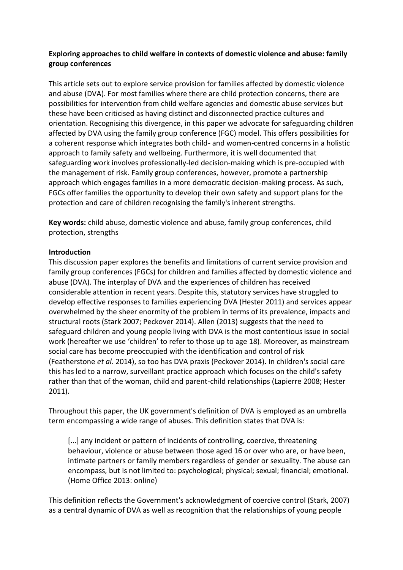# **Exploring approaches to child welfare in contexts of domestic violence and abuse: family group conferences**

This article sets out to explore service provision for families affected by domestic violence and abuse (DVA). For most families where there are child protection concerns, there are possibilities for intervention from child welfare agencies and domestic abuse services but these have been criticised as having distinct and disconnected practice cultures and orientation. Recognising this divergence, in this paper we advocate for safeguarding children affected by DVA using the family group conference (FGC) model. This offers possibilities for a coherent response which integrates both child- and women-centred concerns in a holistic approach to family safety and wellbeing. Furthermore, it is well documented that safeguarding work involves professionally-led decision-making which is pre-occupied with the management of risk. Family group conferences, however, promote a partnership approach which engages families in a more democratic decision-making process. As such, FGCs offer families the opportunity to develop their own safety and support plans for the protection and care of children recognising the family's inherent strengths.

**Key words:** child abuse, domestic violence and abuse, family group conferences, child protection, strengths

#### **Introduction**

This discussion paper explores the benefits and limitations of current service provision and family group conferences (FGCs) for children and families affected by domestic violence and abuse (DVA). The interplay of DVA and the experiences of children has received considerable attention in recent years. Despite this, statutory services have struggled to develop effective responses to families experiencing DVA (Hester 2011) and services appear overwhelmed by the sheer enormity of the problem in terms of its prevalence, impacts and structural roots (Stark 2007; Peckover 2014). Allen (2013) suggests that the need to safeguard children and young people living with DVA is the most contentious issue in social work (hereafter we use 'children' to refer to those up to age 18). Moreover, as mainstream social care has become preoccupied with the identification and control of risk (Featherstone *et al*. 2014), so too has DVA praxis (Peckover 2014). In children's social care this has led to a narrow, surveillant practice approach which focuses on the child's safety rather than that of the woman, child and parent-child relationships (Lapierre 2008; Hester 2011).

Throughout this paper, the UK government's definition of DVA is employed as an umbrella term encompassing a wide range of abuses. This definition states that DVA is:

[...] any incident or pattern of incidents of controlling, coercive, threatening behaviour, violence or abuse between those aged 16 or over who are, or have been, intimate partners or family members regardless of gender or sexuality. The abuse can encompass, but is not limited to: psychological; physical; sexual; financial; emotional. (Home Office 2013: online)

This definition reflects the Government's acknowledgment of coercive control (Stark, 2007) as a central dynamic of DVA as well as recognition that the relationships of young people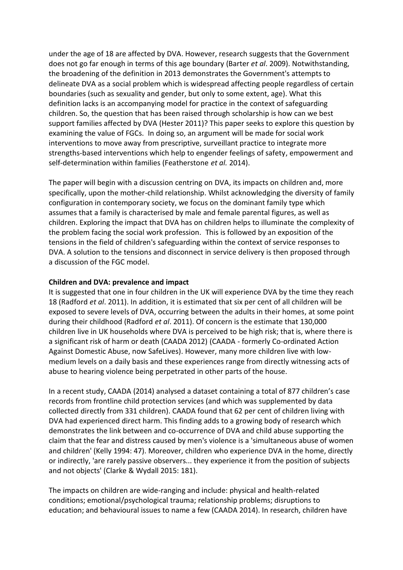under the age of 18 are affected by DVA. However, research suggests that the Government does not go far enough in terms of this age boundary (Barter *et al*. 2009). Notwithstanding, the broadening of the definition in 2013 demonstrates the Government's attempts to delineate DVA as a social problem which is widespread affecting people regardless of certain boundaries (such as sexuality and gender, but only to some extent, age). What this definition lacks is an accompanying model for practice in the context of safeguarding children. So, the question that has been raised through scholarship is how can we best support families affected by DVA (Hester 2011)? This paper seeks to explore this question by examining the value of FGCs. In doing so, an argument will be made for social work interventions to move away from prescriptive, surveillant practice to integrate more strengths-based interventions which help to engender feelings of safety, empowerment and self-determination within families (Featherstone *et al.* 2014).

The paper will begin with a discussion centring on DVA, its impacts on children and, more specifically, upon the mother-child relationship. Whilst acknowledging the diversity of family configuration in contemporary society, we focus on the dominant family type which assumes that a family is characterised by male and female parental figures, as well as children. Exploring the impact that DVA has on children helps to illuminate the complexity of the problem facing the social work profession. This is followed by an exposition of the tensions in the field of children's safeguarding within the context of service responses to DVA. A solution to the tensions and disconnect in service delivery is then proposed through a discussion of the FGC model.

## **Children and DVA: prevalence and impact**

It is suggested that one in four children in the UK will experience DVA by the time they reach 18 (Radford *et al*. 2011). In addition, it is estimated that six per cent of all children will be exposed to severe levels of DVA, occurring between the adults in their homes, at some point during their childhood (Radford *et al*. 2011). Of concern is the estimate that 130,000 children live in UK households where DVA is perceived to be high risk; that is, where there is a significant risk of harm or death (CAADA 2012) (CAADA - formerly Co-ordinated Action Against Domestic Abuse, now SafeLives). However, many more children live with lowmedium levels on a daily basis and these experiences range from directly witnessing acts of abuse to hearing violence being perpetrated in other parts of the house.

In a recent study, CAADA (2014) analysed a dataset containing a total of 877 children's case records from frontline child protection services (and which was supplemented by data collected directly from 331 children). CAADA found that 62 per cent of children living with DVA had experienced direct harm. This finding adds to a growing body of research which demonstrates the link between and co-occurrence of DVA and child abuse supporting the claim that the fear and distress caused by men's violence is a 'simultaneous abuse of women and children' (Kelly 1994: 47). Moreover, children who experience DVA in the home, directly or indirectly, 'are rarely passive observers... they experience it from the position of subjects and not objects' (Clarke & Wydall 2015: 181).

The impacts on children are wide-ranging and include: physical and health-related conditions; emotional/psychological trauma; relationship problems; disruptions to education; and behavioural issues to name a few (CAADA 2014). In research, children have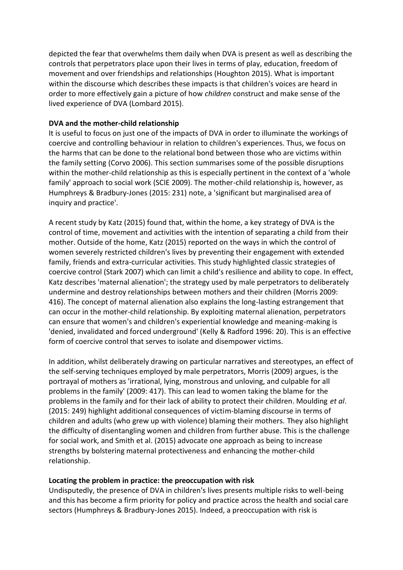depicted the fear that overwhelms them daily when DVA is present as well as describing the controls that perpetrators place upon their lives in terms of play, education, freedom of movement and over friendships and relationships (Houghton 2015). What is important within the discourse which describes these impacts is that children's voices are heard in order to more effectively gain a picture of how *children* construct and make sense of the lived experience of DVA (Lombard 2015).

## **DVA and the mother-child relationship**

It is useful to focus on just one of the impacts of DVA in order to illuminate the workings of coercive and controlling behaviour in relation to children's experiences. Thus, we focus on the harms that can be done to the relational bond between those who are victims within the family setting (Corvo 2006). This section summarises some of the possible disruptions within the mother-child relationship as this is especially pertinent in the context of a 'whole family' approach to social work (SCIE 2009). The mother-child relationship is, however, as Humphreys & Bradbury-Jones (2015: 231) note, a 'significant but marginalised area of inquiry and practice'.

A recent study by Katz (2015) found that, within the home, a key strategy of DVA is the control of time, movement and activities with the intention of separating a child from their mother. Outside of the home, Katz (2015) reported on the ways in which the control of women severely restricted children's lives by preventing their engagement with extended family, friends and extra-curricular activities. This study highlighted classic strategies of coercive control (Stark 2007) which can limit a child's resilience and ability to cope. In effect, Katz describes 'maternal alienation'; the strategy used by male perpetrators to deliberately undermine and destroy relationships between mothers and their children (Morris 2009: 416). The concept of maternal alienation also explains the long-lasting estrangement that can occur in the mother-child relationship. By exploiting maternal alienation, perpetrators can ensure that women's and children's experiential knowledge and meaning-making is 'denied, invalidated and forced underground' (Kelly & Radford 1996: 20). This is an effective form of coercive control that serves to isolate and disempower victims.

In addition, whilst deliberately drawing on particular narratives and stereotypes, an effect of the self-serving techniques employed by male perpetrators, Morris (2009) argues, is the portrayal of mothers as 'irrational, lying, monstrous and unloving, and culpable for all problems in the family' (2009: 417). This can lead to women taking the blame for the problems in the family and for their lack of ability to protect their children. Moulding *et al*. (2015: 249) highlight additional consequences of victim-blaming discourse in terms of children and adults (who grew up with violence) blaming their mothers. They also highlight the difficulty of disentangling women and children from further abuse. This is the challenge for social work, and Smith et al. (2015) advocate one approach as being to increase strengths by bolstering maternal protectiveness and enhancing the mother-child relationship.

#### **Locating the problem in practice: the preoccupation with risk**

Undisputedly, the presence of DVA in children's lives presents multiple risks to well-being and this has become a firm priority for policy and practice across the health and social care sectors (Humphreys & Bradbury-Jones 2015). Indeed, a preoccupation with risk is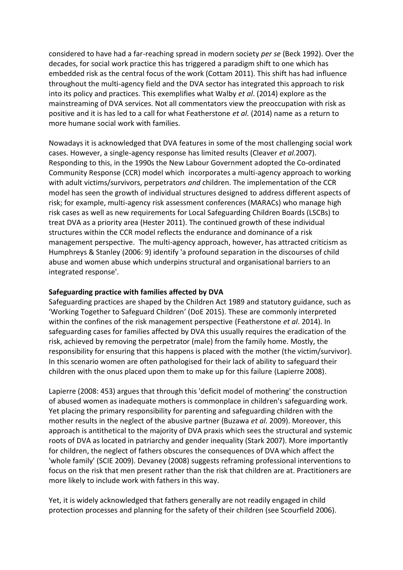considered to have had a far-reaching spread in modern society *per se* (Beck 1992). Over the decades, for social work practice this has triggered a paradigm shift to one which has embedded risk as the central focus of the work (Cottam 2011). This shift has had influence throughout the multi-agency field and the DVA sector has integrated this approach to risk into its policy and practices. This exemplifies what Walby *et al*. (2014) explore as the mainstreaming of DVA services. Not all commentators view the preoccupation with risk as positive and it is has led to a call for what Featherstone *et al.* (2014) name as a return to more humane social work with families.

Nowadays it is acknowledged that DVA features in some of the most challenging social work cases. However, a single-agency response has limited results (Cleaver *et al.*2007). Responding to this, in the 1990s the New Labour Government adopted the Co-ordinated Community Response (CCR) model which incorporates a multi-agency approach to working with adult victims/survivors, perpetrators *and* children. The implementation of the CCR model has seen the growth of individual structures designed to address different aspects of risk; for example, multi-agency risk assessment conferences (MARACs) who manage high risk cases as well as new requirements for Local Safeguarding Children Boards (LSCBs) to treat DVA as a priority area (Hester 2011). The continued growth of these individual structures within the CCR model reflects the endurance and dominance of a risk management perspective. The multi-agency approach, however, has attracted criticism as Humphreys & Stanley (2006: 9) identify 'a profound separation in the discourses of child abuse and women abuse which underpins structural and organisational barriers to an integrated response'.

#### **Safeguarding practice with families affected by DVA**

Safeguarding practices are shaped by the Children Act 1989 and statutory guidance, such as 'Working Together to Safeguard Children' (DoE 2015). These are commonly interpreted within the confines of the risk management perspective (Featherstone *et al*. 2014). In safeguarding cases for families affected by DVA this usually requires the eradication of the risk, achieved by removing the perpetrator (male) from the family home. Mostly, the responsibility for ensuring that this happens is placed with the mother (the victim/survivor). In this scenario women are often pathologised for their lack of ability to safeguard their children with the onus placed upon them to make up for this failure (Lapierre 2008).

Lapierre (2008: 453) argues that through this 'deficit model of mothering' the construction of abused women as inadequate mothers is commonplace in children's safeguarding work. Yet placing the primary responsibility for parenting and safeguarding children with the mother results in the neglect of the abusive partner (Buzawa *et al.* 2009). Moreover, this approach is antithetical to the majority of DVA praxis which sees the structural and systemic roots of DVA as located in patriarchy and gender inequality (Stark 2007). More importantly for children, the neglect of fathers obscures the consequences of DVA which affect the 'whole family' (SCIE 2009). Devaney (2008) suggests reframing professional interventions to focus on the risk that men present rather than the risk that children are at. Practitioners are more likely to include work with fathers in this way.

Yet, it is widely acknowledged that fathers generally are not readily engaged in child protection processes and planning for the safety of their children (see Scourfield 2006).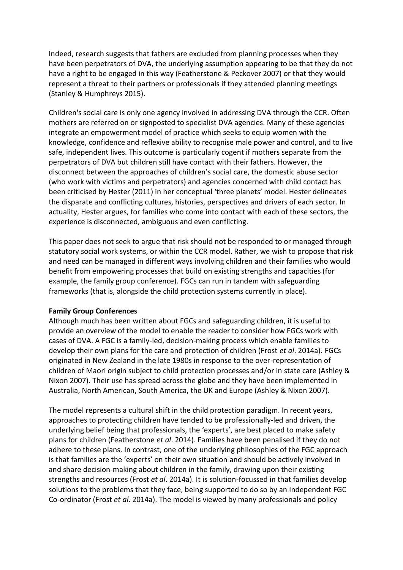Indeed, research suggests that fathers are excluded from planning processes when they have been perpetrators of DVA, the underlying assumption appearing to be that they do not have a right to be engaged in this way (Featherstone & Peckover 2007) or that they would represent a threat to their partners or professionals if they attended planning meetings (Stanley & Humphreys 2015).

Children's social care is only one agency involved in addressing DVA through the CCR. Often mothers are referred on or signposted to specialist DVA agencies. Many of these agencies integrate an empowerment model of practice which seeks to equip women with the knowledge, confidence and reflexive ability to recognise male power and control, and to live safe, independent lives. This outcome is particularly cogent if mothers separate from the perpetrators of DVA but children still have contact with their fathers. However, the disconnect between the approaches of children's social care, the domestic abuse sector (who work with victims and perpetrators) and agencies concerned with child contact has been criticised by Hester (2011) in her conceptual 'three planets' model. Hester delineates the disparate and conflicting cultures, histories, perspectives and drivers of each sector. In actuality, Hester argues, for families who come into contact with each of these sectors, the experience is disconnected, ambiguous and even conflicting.

This paper does not seek to argue that risk should not be responded to or managed through statutory social work systems, or within the CCR model. Rather, we wish to propose that risk and need can be managed in different ways involving children and their families who would benefit from empowering processes that build on existing strengths and capacities (for example, the family group conference). FGCs can run in tandem with safeguarding frameworks (that is, alongside the child protection systems currently in place).

#### **Family Group Conferences**

Although much has been written about FGCs and safeguarding children, it is useful to provide an overview of the model to enable the reader to consider how FGCs work with cases of DVA. A FGC is a family-led, decision-making process which enable families to develop their own plans for the care and protection of children (Frost *et al*. 2014a). FGCs originated in New Zealand in the late 1980s in response to the over-representation of children of Maori origin subject to child protection processes and/or in state care (Ashley & Nixon 2007). Their use has spread across the globe and they have been implemented in Australia, North American, South America, the UK and Europe (Ashley & Nixon 2007).

The model represents a cultural shift in the child protection paradigm. In recent years, approaches to protecting children have tended to be professionally-led and driven, the underlying belief being that professionals, the 'experts', are best placed to make safety plans for children (Featherstone *et al*. 2014). Families have been penalised if they do not adhere to these plans. In contrast, one of the underlying philosophies of the FGC approach is that families are the 'experts' on their own situation and should be actively involved in and share decision-making about children in the family, drawing upon their existing strengths and resources (Frost *et al*. 2014a). It is solution-focussed in that families develop solutions to the problems that they face, being supported to do so by an Independent FGC Co-ordinator (Frost *et al*. 2014a). The model is viewed by many professionals and policy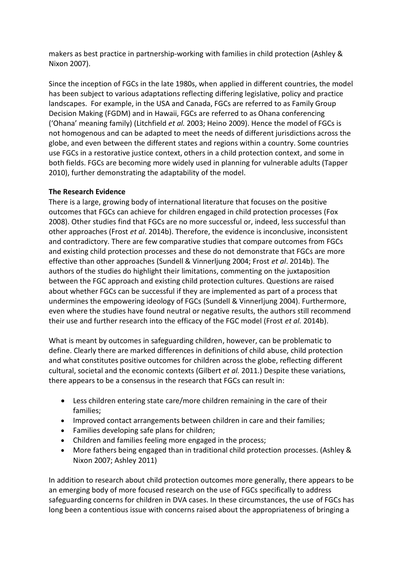makers as best practice in partnership-working with families in child protection (Ashley & Nixon 2007).

Since the inception of FGCs in the late 1980s, when applied in different countries, the model has been subject to various adaptations reflecting differing legislative, policy and practice landscapes. For example, in the USA and Canada, FGCs are referred to as Family Group Decision Making (FGDM) and in Hawaii, FGCs are referred to as Ohana conferencing ('Ohana' meaning family) (Litchfield *et al.* 2003; Heino 2009). Hence the model of FGCs is not homogenous and can be adapted to meet the needs of different jurisdictions across the globe, and even between the different states and regions within a country. Some countries use FGCs in a restorative justice context, others in a child protection context, and some in both fields. FGCs are becoming more widely used in planning for vulnerable adults (Tapper 2010), further demonstrating the adaptability of the model.

## **The Research Evidence**

There is a large, growing body of international literature that focuses on the positive outcomes that FGCs can achieve for children engaged in child protection processes (Fox 2008). Other studies find that FGCs are no more successful or, indeed, less successful than other approaches (Frost *et al*. 2014b). Therefore, the evidence is inconclusive, inconsistent and contradictory. There are few comparative studies that compare outcomes from FGCs and existing child protection processes and these do not demonstrate that FGCs are more effective than other approaches (Sundell & Vinnerljung 2004; Frost *et al*. 2014b). The authors of the studies do highlight their limitations, commenting on the juxtaposition between the FGC approach and existing child protection cultures. Questions are raised about whether FGCs can be successful if they are implemented as part of a process that undermines the empowering ideology of FGCs (Sundell & Vinnerljung 2004). Furthermore, even where the studies have found neutral or negative results, the authors still recommend their use and further research into the efficacy of the FGC model (Frost *et al.* 2014b).

What is meant by outcomes in safeguarding children, however, can be problematic to define. Clearly there are marked differences in definitions of child abuse, child protection and what constitutes positive outcomes for children across the globe, reflecting different cultural, societal and the economic contexts (Gilbert *et al.* 2011.) Despite these variations, there appears to be a consensus in the research that FGCs can result in:

- Less children entering state care/more children remaining in the care of their families;
- Improved contact arrangements between children in care and their families;
- Families developing safe plans for children;
- Children and families feeling more engaged in the process;
- More fathers being engaged than in traditional child protection processes. (Ashley & Nixon 2007; Ashley 2011)

In addition to research about child protection outcomes more generally, there appears to be an emerging body of more focused research on the use of FGCs specifically to address safeguarding concerns for children in DVA cases. In these circumstances, the use of FGCs has long been a contentious issue with concerns raised about the appropriateness of bringing a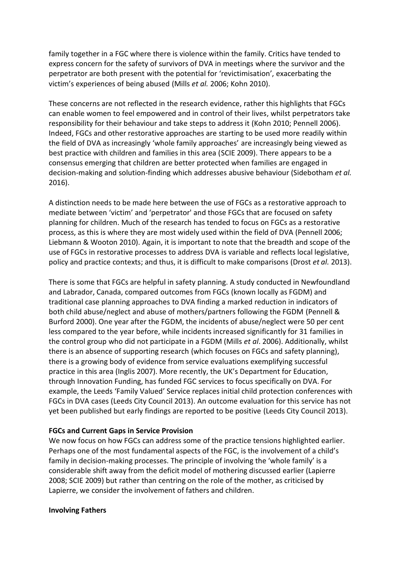family together in a FGC where there is violence within the family. Critics have tended to express concern for the safety of survivors of DVA in meetings where the survivor and the perpetrator are both present with the potential for 'revictimisation', exacerbating the victim's experiences of being abused (Mills *et al.* 2006; Kohn 2010).

These concerns are not reflected in the research evidence, rather this highlights that FGCs can enable women to feel empowered and in control of their lives, whilst perpetrators take responsibility for their behaviour and take steps to address it (Kohn 2010; Pennell 2006). Indeed, FGCs and other restorative approaches are starting to be used more readily within the field of DVA as increasingly 'whole family approaches' are increasingly being viewed as best practice with children and families in this area (SCIE 2009). There appears to be a consensus emerging that children are better protected when families are engaged in decision-making and solution-finding which addresses abusive behaviour (Sidebotham *et al.* 2016).

A distinction needs to be made here between the use of FGCs as a restorative approach to mediate between 'victim' and 'perpetrator' and those FGCs that are focused on safety planning for children. Much of the research has tended to focus on FGCs as a restorative process, as this is where they are most widely used within the field of DVA (Pennell 2006; Liebmann & Wooton 2010). Again, it is important to note that the breadth and scope of the use of FGCs in restorative processes to address DVA is variable and reflects local legislative, policy and practice contexts; and thus, it is difficult to make comparisons (Drost *et al.* 2013).

There is some that FGCs are helpful in safety planning. A study conducted in Newfoundland and Labrador, Canada, compared outcomes from FGCs (known locally as FGDM) and traditional case planning approaches to DVA finding a marked reduction in indicators of both child abuse/neglect and abuse of mothers/partners following the FGDM (Pennell & Burford 2000). One year after the FGDM, the incidents of abuse/neglect were 50 per cent less compared to the year before, while incidents increased significantly for 31 families in the control group who did not participate in a FGDM (Mills *et al*. 2006). Additionally, whilst there is an absence of supporting research (which focuses on FGCs and safety planning), there is a growing body of evidence from service evaluations exemplifying successful practice in this area (Inglis 2007). More recently, the UK's Department for Education, through Innovation Funding, has funded FGC services to focus specifically on DVA. For example, the Leeds 'Family Valued' Service replaces initial child protection conferences with FGCs in DVA cases (Leeds City Council 2013). An outcome evaluation for this service has not yet been published but early findings are reported to be positive (Leeds City Council 2013).

#### **FGCs and Current Gaps in Service Provision**

We now focus on how FGCs can address some of the practice tensions highlighted earlier. Perhaps one of the most fundamental aspects of the FGC, is the involvement of a child's family in decision-making processes. The principle of involving the 'whole family' is a considerable shift away from the deficit model of mothering discussed earlier (Lapierre 2008; SCIE 2009) but rather than centring on the role of the mother, as criticised by Lapierre, we consider the involvement of fathers and children.

#### **Involving Fathers**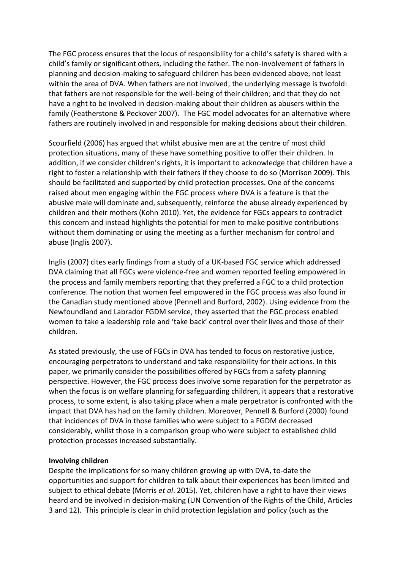The FGC process ensures that the locus of responsibility for a child's safety is shared with a child's family or significant others, including the father. The non-involvement of fathers in planning and decision-making to safeguard children has been evidenced above, not least within the area of DVA. When fathers are not involved, the underlying message is twofold: that fathers are not responsible for the well-being of their children; and that they do not have a right to be involved in decision-making about their children as abusers within the family (Featherstone & Peckover 2007). The FGC model advocates for an alternative where fathers are routinely involved in and responsible for making decisions about their children.

Scourfield (2006) has argued that whilst abusive men are at the centre of most child protection situations, many of these have something positive to offer their children. In addition, if we consider children's rights, it is important to acknowledge that children have a right to foster a relationship with their fathers if they choose to do so (Morrison 2009). This should be facilitated and supported by child protection processes. One of the concerns raised about men engaging within the FGC process where DVA is a feature is that the abusive male will dominate and, subsequently, reinforce the abuse already experienced by children and their mothers (Kohn 2010). Yet, the evidence for FGCs appears to contradict this concern and instead highlights the potential for men to make positive contributions without them dominating or using the meeting as a further mechanism for control and abuse (Inglis 2007).

Inglis (2007) cites early findings from a study of a UK-based FGC service which addressed DVA claiming that all FGCs were violence-free and women reported feeling empowered in the process and family members reporting that they preferred a FGC to a child protection conference. The notion that women feel empowered in the FGC process was also found in the Canadian study mentioned above (Pennell and Burford, 2002). Using evidence from the Newfoundland and Labrador FGDM service, they asserted that the FGC process enabled women to take a leadership role and 'take back' control over their lives and those of their children.

As stated previously, the use of FGCs in DVA has tended to focus on restorative justice, encouraging perpetrators to understand and take responsibility for their actions. In this paper, we primarily consider the possibilities offered by FGCs from a safety planning perspective. However, the FGC process does involve some reparation for the perpetrator as when the focus is on welfare planning for safeguarding children, it appears that a restorative process, to some extent, is also taking place when a male perpetrator is confronted with the impact that DVA has had on the family children. Moreover, Pennell & Burford (2000) found that incidences of DVA in those families who were subject to a FGDM decreased considerably, whilst those in a comparison group who were subject to established child protection processes increased substantially.

#### **Involving children**

Despite the implications for so many children growing up with DVA, to-date the opportunities and support for children to talk about their experiences has been limited and subject to ethical debate (Morris *et al*. 2015). Yet, children have a right to have their views heard and be involved in decision-making (UN Convention of the Rights of the Child, Articles 3 and 12). This principle is clear in child protection legislation and policy (such as the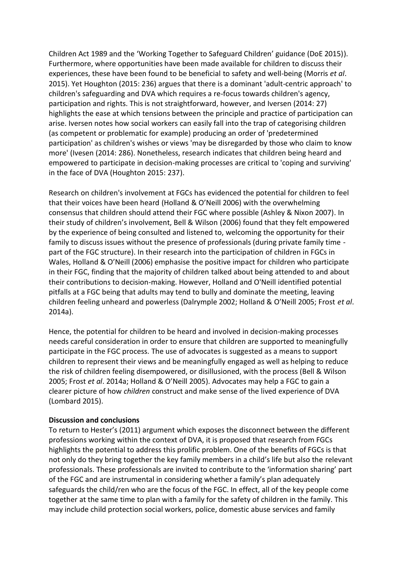Children Act 1989 and the 'Working Together to Safeguard Children' guidance (DoE 2015)). Furthermore, where opportunities have been made available for children to discuss their experiences, these have been found to be beneficial to safety and well-being (Morris *et al*. 2015). Yet Houghton (2015: 236) argues that there is a dominant 'adult-centric approach' to children's safeguarding and DVA which requires a re-focus towards children's agency, participation and rights. This is not straightforward, however, and Iversen (2014: 27) highlights the ease at which tensions between the principle and practice of participation can arise. Iversen notes how social workers can easily fall into the trap of categorising children (as competent or problematic for example) producing an order of 'predetermined participation' as children's wishes or views 'may be disregarded by those who claim to know more' (Ivesen (2014: 286). Nonetheless, research indicates that children being heard and empowered to participate in decision-making processes are critical to 'coping and surviving' in the face of DVA (Houghton 2015: 237).

Research on children's involvement at FGCs has evidenced the potential for children to feel that their voices have been heard (Holland & O'Neill 2006) with the overwhelming consensus that children should attend their FGC where possible (Ashley & Nixon 2007). In their study of children's involvement, Bell & Wilson (2006) found that they felt empowered by the experience of being consulted and listened to, welcoming the opportunity for their family to discuss issues without the presence of professionals (during private family time part of the FGC structure). In their research into the participation of children in FGCs in Wales, Holland & O'Neill (2006) emphasise the positive impact for children who participate in their FGC, finding that the majority of children talked about being attended to and about their contributions to decision-making. However, Holland and O'Neill identified potential pitfalls at a FGC being that adults may tend to bully and dominate the meeting, leaving children feeling unheard and powerless (Dalrymple 2002; Holland & O'Neill 2005; Frost *et al*. 2014a).

Hence, the potential for children to be heard and involved in decision-making processes needs careful consideration in order to ensure that children are supported to meaningfully participate in the FGC process. The use of advocates is suggested as a means to support children to represent their views and be meaningfully engaged as well as helping to reduce the risk of children feeling disempowered, or disillusioned, with the process (Bell & Wilson 2005; Frost *et al*. 2014a; Holland & O'Neill 2005). Advocates may help a FGC to gain a clearer picture of how *children* construct and make sense of the lived experience of DVA (Lombard 2015).

#### **Discussion and conclusions**

To return to Hester's (2011) argument which exposes the disconnect between the different professions working within the context of DVA, it is proposed that research from FGCs highlights the potential to address this prolific problem. One of the benefits of FGCs is that not only do they bring together the key family members in a child's life but also the relevant professionals. These professionals are invited to contribute to the 'information sharing' part of the FGC and are instrumental in considering whether a family's plan adequately safeguards the child/ren who are the focus of the FGC. In effect, all of the key people come together at the same time to plan with a family for the safety of children in the family. This may include child protection social workers, police, domestic abuse services and family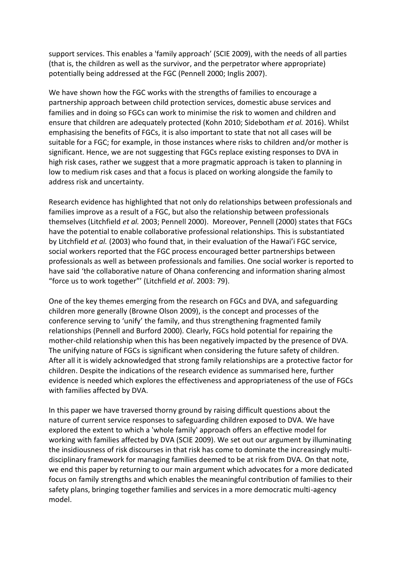support services. This enables a 'family approach' (SCIE 2009), with the needs of all parties (that is, the children as well as the survivor, and the perpetrator where appropriate) potentially being addressed at the FGC (Pennell 2000; Inglis 2007).

We have shown how the FGC works with the strengths of families to encourage a partnership approach between child protection services, domestic abuse services and families and in doing so FGCs can work to minimise the risk to women and children and ensure that children are adequately protected (Kohn 2010; Sidebotham *et al.* 2016). Whilst emphasising the benefits of FGCs, it is also important to state that not all cases will be suitable for a FGC; for example, in those instances where risks to children and/or mother is significant. Hence, we are not suggesting that FGCs replace existing responses to DVA in high risk cases, rather we suggest that a more pragmatic approach is taken to planning in low to medium risk cases and that a focus is placed on working alongside the family to address risk and uncertainty.

Research evidence has highlighted that not only do relationships between professionals and families improve as a result of a FGC, but also the relationship between professionals themselves (Litchfield *et al.* 2003; Pennell 2000). Moreover, Pennell (2000) states that FGCs have the potential to enable collaborative professional relationships. This is substantiated by Litchfield *et al.* (2003) who found that, in their evaluation of the Hawai'i FGC service, social workers reported that the FGC process encouraged better partnerships between professionals as well as between professionals and families. One social worker is reported to have said 'the collaborative nature of Ohana conferencing and information sharing almost "force us to work together"' (Litchfield *et al*. 2003: 79).

One of the key themes emerging from the research on FGCs and DVA, and safeguarding children more generally (Browne Olson 2009), is the concept and processes of the conference serving to 'unify' the family, and thus strengthening fragmented family relationships (Pennell and Burford 2000). Clearly, FGCs hold potential for repairing the mother-child relationship when this has been negatively impacted by the presence of DVA. The unifying nature of FGCs is significant when considering the future safety of children. After all it is widely acknowledged that strong family relationships are a protective factor for children. Despite the indications of the research evidence as summarised here, further evidence is needed which explores the effectiveness and appropriateness of the use of FGCs with families affected by DVA.

In this paper we have traversed thorny ground by raising difficult questions about the nature of current service responses to safeguarding children exposed to DVA. We have explored the extent to which a 'whole family' approach offers an effective model for working with families affected by DVA (SCIE 2009). We set out our argument by illuminating the insidiousness of risk discourses in that risk has come to dominate the increasingly multidisciplinary framework for managing families deemed to be at risk from DVA. On that note, we end this paper by returning to our main argument which advocates for a more dedicated focus on family strengths and which enables the meaningful contribution of families to their safety plans, bringing together families and services in a more democratic multi-agency model.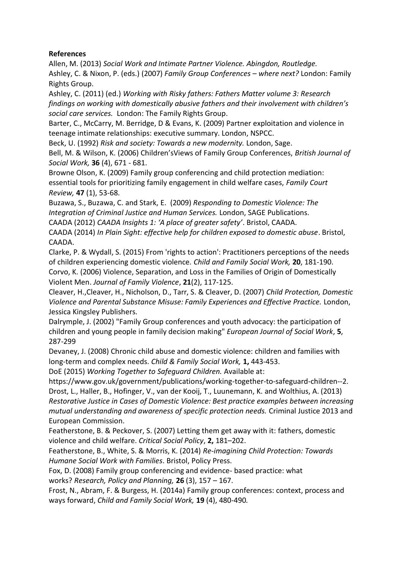# **References**

Allen, M. (2013) *Social Work and Intimate Partner Violence. Abingdon, Routledge.* Ashley, C. & Nixon, P. (eds.) (2007) *Family Group Conferences – where next?* London: Family Rights Group.

Ashley, C. (2011) (ed.) *Working with Risky fathers: Fathers Matter volume 3: Research findings on working with domestically abusive fathers and their involvement with children's social care services.* London: The Family Rights Group.

Barter, C., McCarry, M. Berridge, D & Evans, K. (2009) Partner exploitation and violence in teenage intimate relationships: executive summary. London, NSPCC.

Beck, U. (1992) *Risk and society: Towards a new modernity.* London, Sage.

Bell, M. & Wilson, K. (2006) Children'sViews of Family Group Conferences, *British Journal of Social Work,* **36** (4), 671 - 681.

Browne Olson, K. (2009) Family group conferencing and child protection mediation: essential tools for prioritizing family engagement in child welfare cases, *Family Court Review,* **47** (1), 53-68.

Buzawa, S., Buzawa, C. and Stark, E. (2009) *Responding to Domestic Violence: The Integration of Criminal Justice and Human Services.* London, SAGE Publications. CAADA (2012) *CAADA Insights 1: 'A place of greater safety'*. Bristol, CAADA.

CAADA (2014) *In Plain Sight: effective help for children exposed to domestic abuse*. Bristol,

CAADA.

Clarke, P. & Wydall, S. (2015) From 'rights to action': Practitioners perceptions of the needs of children experiencing domestic violence. *Child and Family Social Work,* **20**, 181-190. Corvo, K. (2006) [Violence, Separation, and Loss in the Families of Origin of Domestically](http://sal-primo-production.hosted.exlibrisgroup.com/primo_library/libweb/action/display.do?frbrVersion=11&tabs=viewOnlineTab&ct=display&fn=search&doc=TN_proquest233222209&indx=6&recIds=TN_proquest233222209&recIdxs=5&elementId=5&renderMode=poppedOut&displayMode=full&frbrVersion=11&frbg=&&vl(1UI0)=contains&dscnt=0&scp.scps=scope%3A%2844SAL_FLOO_DS%29%2Cscope%3A%2844SAL_DB_DS%29%2Cscope%3A%2844SAL_ALMA_DS%29%2Cscope%3A%2844SAL_EPR_DS%29%2Cscope%3A%2844SAL_EAD_DS%29%2Cprimo_central_multiple_fe&tb=t&vid=SAL_MAIN&mode=Basic&srt=rank&tab=all&dum=true&vl(freeText0)=relational%20bond%20%2B%20mother%20child%20%2B%20domestic%20abuse&dstmp=1484768907833)  [Violent Men.](http://sal-primo-production.hosted.exlibrisgroup.com/primo_library/libweb/action/display.do?frbrVersion=11&tabs=viewOnlineTab&ct=display&fn=search&doc=TN_proquest233222209&indx=6&recIds=TN_proquest233222209&recIdxs=5&elementId=5&renderMode=poppedOut&displayMode=full&frbrVersion=11&frbg=&&vl(1UI0)=contains&dscnt=0&scp.scps=scope%3A%2844SAL_FLOO_DS%29%2Cscope%3A%2844SAL_DB_DS%29%2Cscope%3A%2844SAL_ALMA_DS%29%2Cscope%3A%2844SAL_EPR_DS%29%2Cscope%3A%2844SAL_EAD_DS%29%2Cprimo_central_multiple_fe&tb=t&vid=SAL_MAIN&mode=Basic&srt=rank&tab=all&dum=true&vl(freeText0)=relational%20bond%20%2B%20mother%20child%20%2B%20domestic%20abuse&dstmp=1484768907833) *Journal of Family Violence*, **21**(2), 117-125.

Cleaver, H.,Cleaver, H., Nicholson, D., Tarr, S. & Cleaver, D. (2007) *Child Protection, Domestic Violence and Parental Substance Misuse: Family Experiences and Effective Practice.* London, Jessica Kingsley Publishers.

Dalrymple, J. (2002) "Family Group conferences and youth advocacy: the participation of children and young people in family decision making" *European Journal of Social Work*, **5**, 287-299

Devaney, J. (2008) Chronic child abuse and domestic violence: children and families with long-term and complex needs. *Child & Family Social Work,* **1,** 443-453.

DoE (2015) *Working Together to Safeguard Children.* Available at:

https://www.gov.uk/government/publications/working-together-to-safeguard-children--2. Drost, L., Haller, B., Hofinger, V., van der Kooij, T., Luunemann, K. and Wolthius, A. (2013) *Restorative Justice in Cases of Domestic Violence: Best practice examples between increasing mutual understanding and awareness of specific protection needs.* Criminal Justice 2013 and European Commission.

Featherstone, B. & Peckover, S. (2007) Letting them get away with it: fathers, domestic violence and child welfare. *Critical Social Policy*, **2,** 181–202.

Featherstone, B., White, S. & Morris, K. (2014) *Re-imagining Child Protection: Towards Humane Social Work with Families*. Bristol, Policy Press.

Fox, D. (2008) Family group conferencing and evidence- based practice: what works? *Research, Policy and Planning,* **26** (3), 157 – 167.

Frost, N., Abram, F. & Burgess, H. (2014a) Family group conferences: context, process and ways forward, *Child and Family Social Work,* **19** (4), 480-490*.*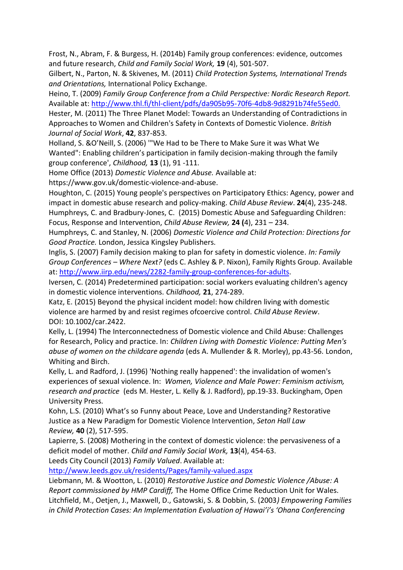Frost, N., Abram, F. & Burgess, H. (2014b) Family group conferences: evidence, outcomes and future research, *Child and Family Social Work,* **19** (4), 501-507.

Gilbert, N., Parton, N. & Skivenes, M. (2011) *Child Protection Systems, International Trends and Orientations,* International Policy Exchange.

Heino, T. (2009) *Family Group Conference from a Child Perspective: Nordic Research Report.*  Available at: [http://www.thl.fi/thl-client/pdfs/da905b95-70f6-4db8-9d8291b74fe55ed0.](https://portal.salford.ac.uk/+CSCO+1p75676763663A2F2F666E7973626571726B70756E617472736E657A2E666E79736265712E6E702E6878++/owa/-CSCO-3h--redir.aspx?C=GfeUCrrhwU6WBYeulzTMCt6mm5kJQdQIodaLlFAnLuX6D6EG2u2O5prFrx03S6NBXEp8_wTP2kU.&URL=http%3a%2f%2fwww.thl.fi%2fthl-client%2fpdfs%2fda905b95-70f6-4db8-9d8291b74fe55ed0)

Hester, M. (2011) The Three Planet Model: Towards an Understanding of Contradictions in Approaches to Women and Children's Safety in Contexts of Domestic Violence. *British Journal of Social Work*, **42**, 837-853.

Holland, S. &O'Neill, S. (2006) '"We Had to be There to Make Sure it was What We Wanted": Enabling children's participation in family decision-making through the family group conference', *Childhood,* **13** (1), 91 -111.

Home Office (2013) *Domestic Violence and Abuse.* Available at:

https://www.gov.uk/domestic-violence-and-abuse.

Houghton, C. (2015) Young people's perspectives on Participatory Ethics: Agency, power and impact in domestic abuse research and policy-making. *Child Abuse Review*. **24**(4), 235-248. Humphreys, C. and Bradbury-Jones, C. (2015) Domestic Abuse and Safeguarding Children: Focus, Response and Intervention, *Child Abuse Review,* **24 (**4), 231 – 234.

Humphreys, C. and Stanley, N. (2006) *Domestic Violence and Child Protection: Directions for Good Practice.* London, Jessica Kingsley Publishers.

Inglis, S. (2007) Family decision making to plan for safety in domestic violence*. In: Family Group Conferences – Where Next?* (eds C. Ashley & P. Nixon), Family Rights Group. Available at[: http://www.iirp.edu/news/2282-family-group-conferences-for-adults.](http://www.iirp.edu/news/2282-family-group-conferences-for-adults)

Iversen, C. (2014) Predetermined participation: social workers evaluating children's agency in domestic violence interventions. *Childhood,* **21**, 274-289.

Katz, E. (2015) Beyond the physical incident model: how children living with domestic violence are harmed by and resist regimes ofcoercive control. *Child Abuse Review*. DOI: 10.1002/car.2422.

Kelly, L. (1994) The Interconnectedness of Domestic violence and Child Abuse: Challenges for Research, Policy and practice. In: *Children Living with Domestic Violence: Putting Men's abuse of women on the childcare agenda* (eds A. Mullender & R. Morley), pp.43-56. London, Whiting and Birch.

Kelly, L. and Radford, J. (1996) 'Nothing really happened': the invalidation of women's experiences of sexual violence. In: *Women, Violence and Male Power: Feminism activism, research and practice* (eds M. Hester, L. Kelly & J. Radford), pp.19-33. Buckingham, Open University Press.

Kohn, L.S. (2010) What's so Funny about Peace, Love and Understanding? Restorative Justice as a New Paradigm for Domestic Violence Intervention, *Seton Hall Law Review,* **40** (2), 517-595.

Lapierre, S. (2008) Mothering in the context of domestic violence: the pervasiveness of a deficit model of mother. *Child and Family Social Work,* **13**(4), 454-63.

Leeds City Council (2013) *Family Valued*. Available at:

<http://www.leeds.gov.uk/residents/Pages/family-valued.aspx>

Liebmann, M. & Wootton, L. (2010) *Restorative Justice and Domestic Violence /Abuse: A Report commissioned by HMP Cardiff,* The Home Office Crime Reduction Unit for Wales. Litchfield, M., Oetjen, J., Maxwell, D., Gatowski, S. & Dobbin, S. (2003*) Empowering Families in Child Protection Cases: An Implementation Evaluation of Hawai'i's 'Ohana Conferencing*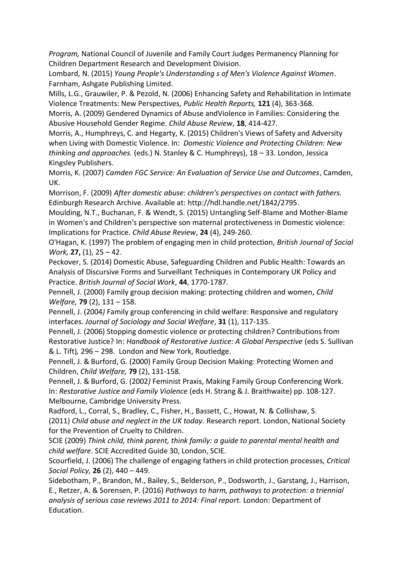*Program,* National Council of Juvenile and Family Court Judges Permanency Planning for Children Department Research and Development Division.

Lombard, N. (2015) *Young People's Understanding s of Men's Violence Against Women*. Farnham, Ashgate Publishing Limited.

Mills, L.G., Grauwiler, P. & Pezold, N. (2006) Enhancing Safety and Rehabilitation in Intimate Violence Treatments: New Perspectives, *Public Health Reports,* **121** (4), 363-368.

Morris, A. (2009) Gendered Dynamics of Abuse andViolence in Families: Considering the Abusive Household Gender Regime. *Child Abuse Review*, **18**, 414-427.

Morris, A., Humphreys, C. and Hegarty, K. (2015) Children's Views of Safety and Adversity when Living with Domestic Violence. In: *Domestic Violence and Protecting Children: New thinking and approaches.* (eds.) N. Stanley & C. Humphreys), 18 – 33. London, Jessica Kingsley Publishers.

Morris, K. (2007) *Camden FGC Service: An Evaluation of Service Use and Outcomes*, Camden, UK.

Morrison, F. (2009) *After domestic abuse: children's perspectives on contact with fathers.* Edinburgh Research Archive. Available at: [http://hdl.handle.net/1842/2795.](http://hdl.handle.net/1842/2795)

Moulding, N.T., Buchanan, F. & Wendt, S. (2015) Untangling Self-Blame and Mother-Blame in Women's and Children's perspective son maternal protectiveness in Domestic violence: Implications for Practice. *Child Abuse Review*, **24** (4), 249-260.

O'Hagan, K. (1997) The problem of engaging men in child protection, *British Journal of Social Work,* **27,** (1), 25 – 42.

Peckover, S. (2014) Domestic Abuse, Safeguarding Children and Public Health: Towards an Analysis of Discursive Forms and Surveillant Techniques in Contemporary UK Policy and Practice. *British Journal of Social Work*, **44**, 1770-1787.

Pennell, J. (2000) Family group decision making: protecting children and women, *Child Welfare,* **79** (2), 131 – 158.

Pennell, J. (2004*)* Family group conferencing in child welfare: Responsive and regulatory interfaces. *Journal of Sociology and Social Welfare*, **31** (1), 117-135.

Pennell, J. (2006) Stopping domestic violence or protecting children? Contributions from Restorative Justice? In: *Handbook of Restorative Justice: A Global Perspective* (eds S. Sullivan & L. Tift)*,* 296 – 298.London and New York, Routledge.

Pennell, J. & Burford, G. (2000) Family Group Decision Making: Protecting Women and Children, *Child Welfare,* **79** (2), 131-158.

Pennell, J. & Burford, G. (2002*)* Feminist Praxis, Making Family Group Conferencing Work. In: *Restorative Justice and Family Violence* (eds H. Strang & J. Braithwaite) pp. 108-127. Melbourne, Cambridge University Press.

Radford, L., Corral, S., Bradley, C., Fisher, H., Bassett, C., Howat, N. & Collishaw, S.

(2011) *Child abuse and neglect in the UK today.* Research report. London, National Society for the Prevention of Cruelty to Children.

SCIE (2009) *Think child, think parent, think family: a guide to parental mental health and child welfare*. SCIE Accredited Guide 30, London, SCIE.

Scourfield, J. (2006) The challenge of engaging fathers in child protection processes, *Critical Social Policy,* **26** (2), 440 – 449.

Sidebotham, P., Brandon, M., Bailey, S., Belderson, P., Dodsworth, J., Garstang, J., Harrison, E., Retzer, A. & Sorensen, P. (2016) *Pathways to harm, pathways to protection: a triennial analysis of serious case reviews 2011 to 2014: Final report.* London: Department of Education.